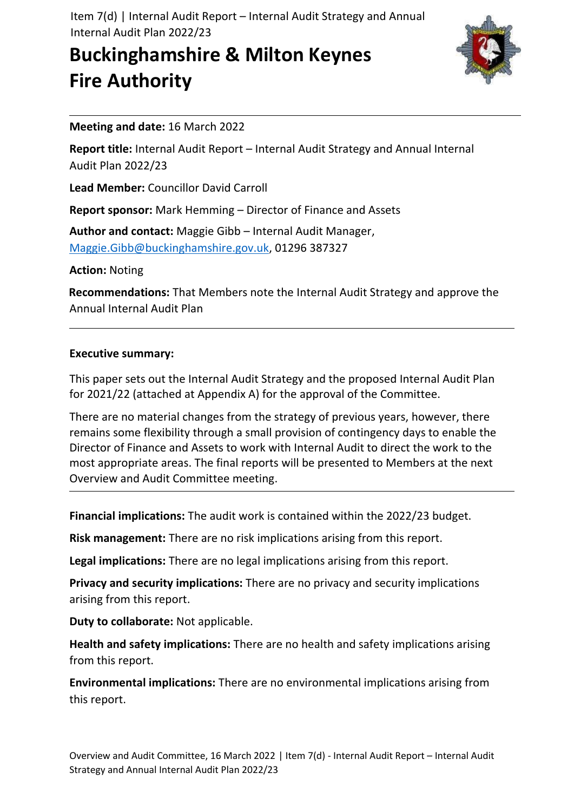Item 7(d) | Internal Audit Report – Internal Audit Strategy and Annual Internal Audit Plan 2022/23

# **Buckinghamshire & Milton Keynes Fire Authority**



#### **Meeting and date:** 16 March 2022

**Report title:** Internal Audit Report – Internal Audit Strategy and Annual Internal Audit Plan 2022/23

**Lead Member:** Councillor David Carroll

**Report sponsor:** Mark Hemming – Director of Finance and Assets

**Author and contact:** Maggie Gibb – Internal Audit Manager, [Maggie.Gibb@buckinghamshire.gov.uk,](mailto:Maggie.Gibb@buckinghamshire.gov.uk) 01296 387327

**Action:** Noting

**Recommendations:** That Members note the Internal Audit Strategy and approve the Annual Internal Audit Plan

#### **Executive summary:**

This paper sets out the Internal Audit Strategy and the proposed Internal Audit Plan for 2021/22 (attached at Appendix A) for the approval of the Committee.

There are no material changes from the strategy of previous years, however, there remains some flexibility through a small provision of contingency days to enable the Director of Finance and Assets to work with Internal Audit to direct the work to the most appropriate areas. The final reports will be presented to Members at the next Overview and Audit Committee meeting.

**Financial implications:** The audit work is contained within the 2022/23 budget.

**Risk management:** There are no risk implications arising from this report.

**Legal implications:** There are no legal implications arising from this report.

**Privacy and security implications:** There are no privacy and security implications arising from this report.

**Duty to collaborate:** Not applicable.

**Health and safety implications:** There are no health and safety implications arising from this report.

**Environmental implications:** There are no environmental implications arising from this report.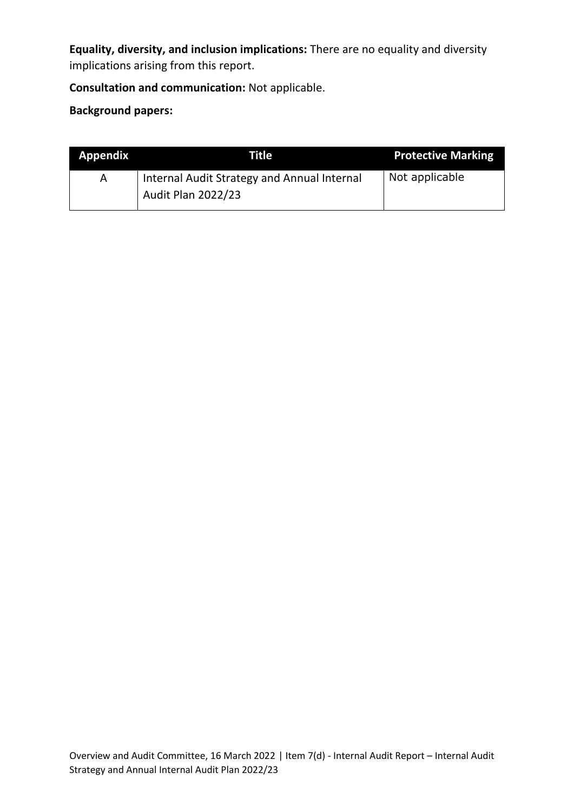**Equality, diversity, and inclusion implications:** There are no equality and diversity implications arising from this report.

#### **Consultation and communication:** Not applicable.

#### **Background papers:**

| <b>Appendix</b> | Title'                                      | <b>Protective Marking</b> |
|-----------------|---------------------------------------------|---------------------------|
| A               | Internal Audit Strategy and Annual Internal | Not applicable            |
|                 | <b>Audit Plan 2022/23</b>                   |                           |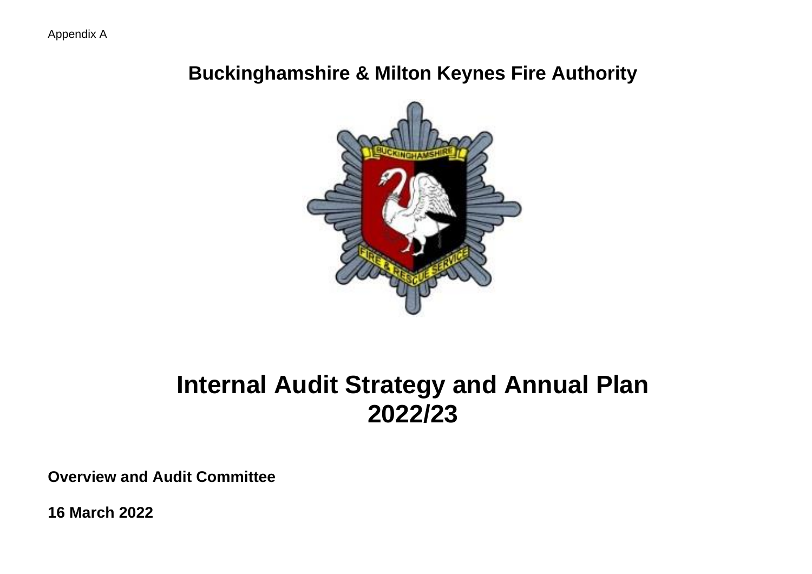# **Buckinghamshire & Milton Keynes Fire Authority**



# **Internal Audit Strategy and Annual Plan 2022/23**

**Overview and Audit Committee**

**16 March 2022**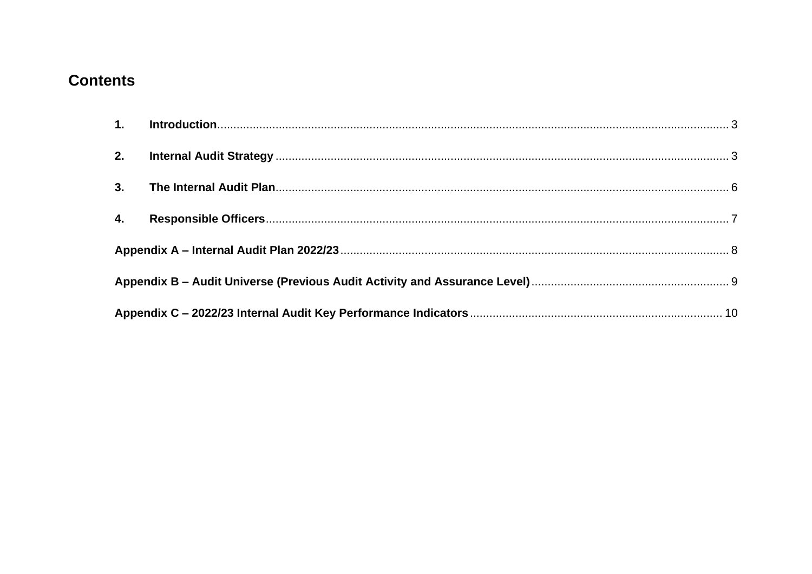## **Contents**

| $\mathbf{4}$ |  |  |  |  |
|--------------|--|--|--|--|
|              |  |  |  |  |
|              |  |  |  |  |
|              |  |  |  |  |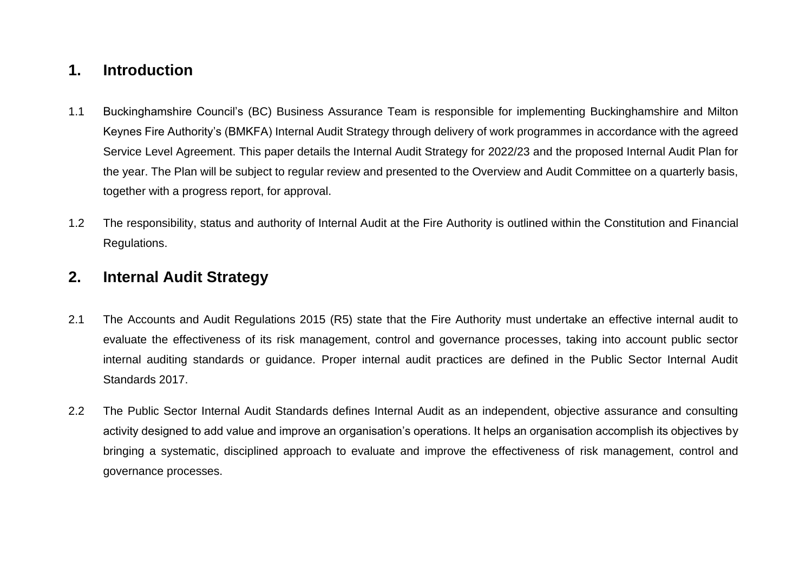## <span id="page-4-0"></span>**1. Introduction**

- 1.1 Buckinghamshire Council's (BC) Business Assurance Team is responsible for implementing Buckinghamshire and Milton Keynes Fire Authority's (BMKFA) Internal Audit Strategy through delivery of work programmes in accordance with the agreed Service Level Agreement. This paper details the Internal Audit Strategy for 2022/23 and the proposed Internal Audit Plan for the year. The Plan will be subject to regular review and presented to the Overview and Audit Committee on a quarterly basis, together with a progress report, for approval.
- 1.2 The responsibility, status and authority of Internal Audit at the Fire Authority is outlined within the Constitution and Financial Regulations.

## <span id="page-4-1"></span>**2. Internal Audit Strategy**

- 2.1 The Accounts and Audit Regulations 2015 (R5) state that the Fire Authority must undertake an effective internal audit to evaluate the effectiveness of its risk management, control and governance processes, taking into account public sector internal auditing standards or guidance. Proper internal audit practices are defined in the Public Sector Internal Audit Standards 2017.
- 2.2 The Public Sector Internal Audit Standards defines Internal Audit as an independent, objective assurance and consulting activity designed to add value and improve an organisation's operations. It helps an organisation accomplish its objectives by bringing a systematic, disciplined approach to evaluate and improve the effectiveness of risk management, control and governance processes.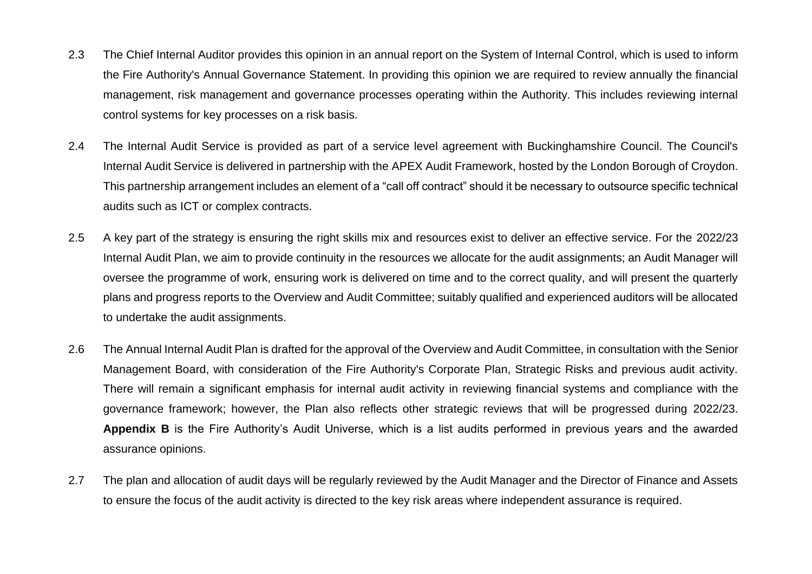- 2.3 The Chief Internal Auditor provides this opinion in an annual report on the System of Internal Control, which is used to inform the Fire Authority's Annual Governance Statement. In providing this opinion we are required to review annually the financial management, risk management and governance processes operating within the Authority. This includes reviewing internal control systems for key processes on a risk basis.
- 2.4 The Internal Audit Service is provided as part of a service level agreement with Buckinghamshire Council. The Council's Internal Audit Service is delivered in partnership with the APEX Audit Framework, hosted by the London Borough of Croydon. This partnership arrangement includes an element of a "call off contract" should it be necessary to outsource specific technical audits such as ICT or complex contracts.
- 2.5 A key part of the strategy is ensuring the right skills mix and resources exist to deliver an effective service. For the 2022/23 Internal Audit Plan, we aim to provide continuity in the resources we allocate for the audit assignments; an Audit Manager will oversee the programme of work, ensuring work is delivered on time and to the correct quality, and will present the quarterly plans and progress reports to the Overview and Audit Committee; suitably qualified and experienced auditors will be allocated to undertake the audit assignments.
- 2.6 The Annual Internal Audit Plan is drafted for the approval of the Overview and Audit Committee, in consultation with the Senior Management Board, with consideration of the Fire Authority's Corporate Plan, Strategic Risks and previous audit activity. There will remain a significant emphasis for internal audit activity in reviewing financial systems and compliance with the governance framework; however, the Plan also reflects other strategic reviews that will be progressed during 2022/23. **Appendix B** is the Fire Authority's Audit Universe, which is a list audits performed in previous years and the awarded assurance opinions.
- 2.7 The plan and allocation of audit days will be regularly reviewed by the Audit Manager and the Director of Finance and Assets to ensure the focus of the audit activity is directed to the key risk areas where independent assurance is required.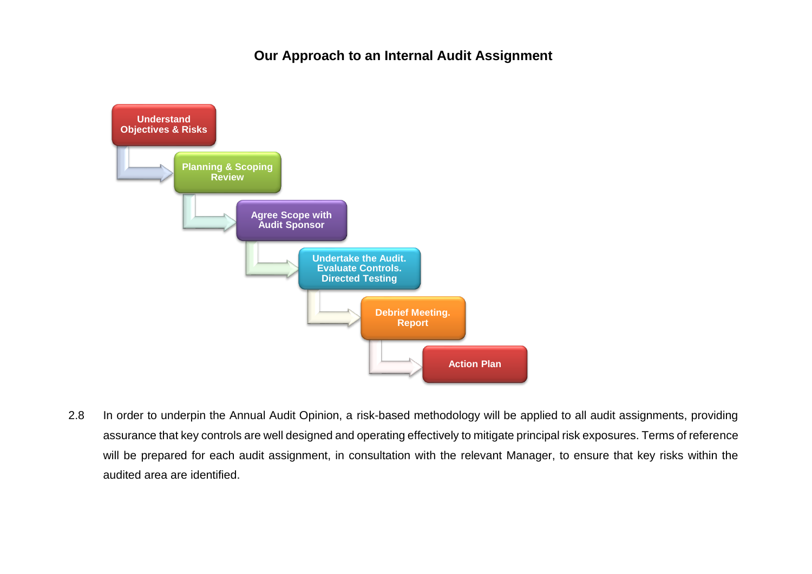#### **Our Approach to an Internal Audit Assignment**



2.8 In order to underpin the Annual Audit Opinion, a risk-based methodology will be applied to all audit assignments, providing assurance that key controls are well designed and operating effectively to mitigate principal risk exposures. Terms of reference will be prepared for each audit assignment, in consultation with the relevant Manager, to ensure that key risks within the audited area are identified.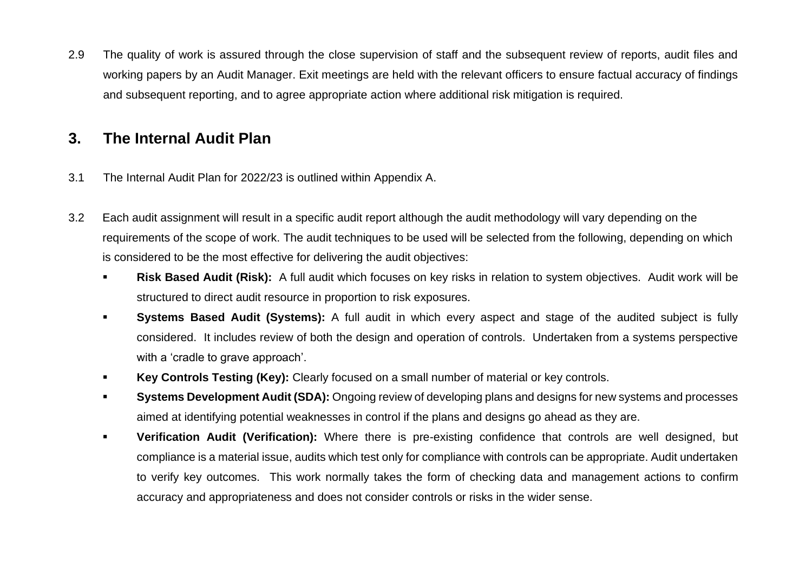2.9 The quality of work is assured through the close supervision of staff and the subsequent review of reports, audit files and working papers by an Audit Manager. Exit meetings are held with the relevant officers to ensure factual accuracy of findings and subsequent reporting, and to agree appropriate action where additional risk mitigation is required.

### <span id="page-7-0"></span>**3. The Internal Audit Plan**

- 3.1 The Internal Audit Plan for 2022/23 is outlined within Appendix A.
- 3.2 Each audit assignment will result in a specific audit report although the audit methodology will vary depending on the requirements of the scope of work. The audit techniques to be used will be selected from the following, depending on which is considered to be the most effective for delivering the audit objectives:
	- Risk Based Audit (Risk): A full audit which focuses on key risks in relation to system objectives. Audit work will be structured to direct audit resource in proportion to risk exposures.
	- **Systems Based Audit (Systems):** A full audit in which every aspect and stage of the audited subject is fully considered. It includes review of both the design and operation of controls. Undertaken from a systems perspective with a 'cradle to grave approach'.
	- Key Controls Testing (Key): Clearly focused on a small number of material or key controls.
	- **Systems Development Audit (SDA):** Ongoing review of developing plans and designs for new systems and processes aimed at identifying potential weaknesses in control if the plans and designs go ahead as they are.
	- **Verification Audit (Verification):** Where there is pre-existing confidence that controls are well designed, but compliance is a material issue, audits which test only for compliance with controls can be appropriate. Audit undertaken to verify key outcomes. This work normally takes the form of checking data and management actions to confirm accuracy and appropriateness and does not consider controls or risks in the wider sense.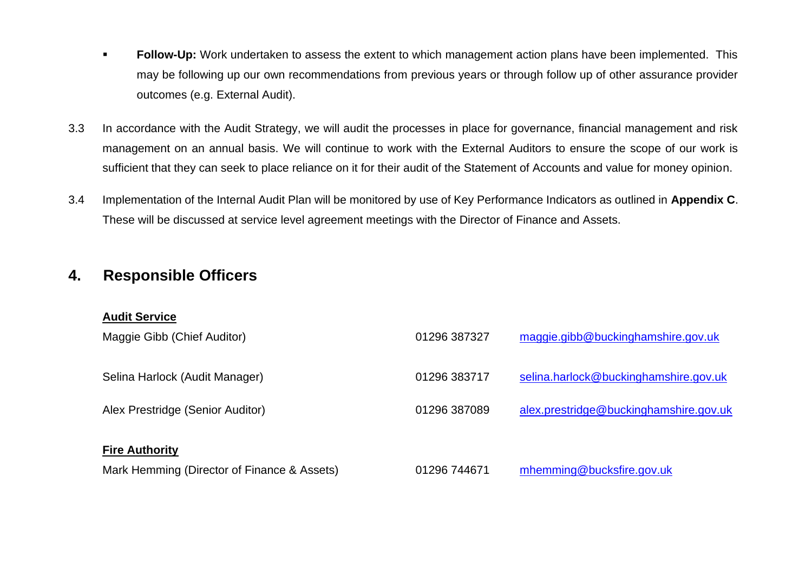- **EDILOW-Up:** Work undertaken to assess the extent to which management action plans have been implemented. This may be following up our own recommendations from previous years or through follow up of other assurance provider outcomes (e.g. External Audit).
- 3.3 In accordance with the Audit Strategy, we will audit the processes in place for governance, financial management and risk management on an annual basis. We will continue to work with the External Auditors to ensure the scope of our work is sufficient that they can seek to place reliance on it for their audit of the Statement of Accounts and value for money opinion.
- 3.4 Implementation of the Internal Audit Plan will be monitored by use of Key Performance Indicators as outlined in **Appendix C**. These will be discussed at service level agreement meetings with the Director of Finance and Assets.

## <span id="page-8-0"></span>**4. Responsible Officers**

#### **Audit Service**

| Maggie Gibb (Chief Auditor)                 | 01296 387327 | maggie.gibb@buckinghamshire.gov.uk     |
|---------------------------------------------|--------------|----------------------------------------|
| Selina Harlock (Audit Manager)              | 01296 383717 | selina.harlock@buckinghamshire.gov.uk  |
| Alex Prestridge (Senior Auditor)            | 01296 387089 | alex.prestridge@buckinghamshire.gov.uk |
| <b>Fire Authority</b>                       |              |                                        |
| Mark Hemming (Director of Finance & Assets) | 01296 744671 | mhemming@bucksfire.gov.uk              |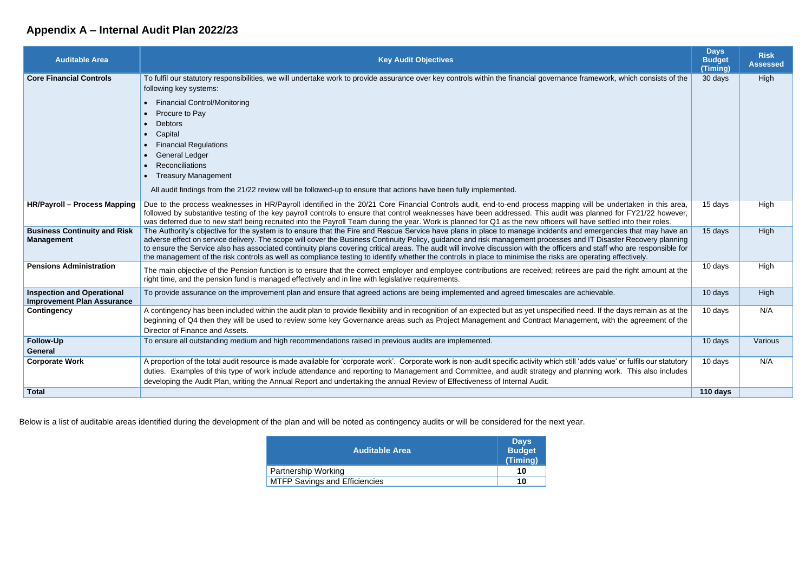# <span id="page-9-0"></span>**Appendix A – Internal Audit Plan 2022/23**

| <b>Auditable Area</b>                                                  | <b>Key Audit Objectives</b>                                                                                                                                                                                                                                                                                                                                                                                                                                                                                                                                                                                                                                                       | <b>Days</b><br><b>Budget</b><br>(Timing) | <b>Risk</b><br><b>Assessed</b> |
|------------------------------------------------------------------------|-----------------------------------------------------------------------------------------------------------------------------------------------------------------------------------------------------------------------------------------------------------------------------------------------------------------------------------------------------------------------------------------------------------------------------------------------------------------------------------------------------------------------------------------------------------------------------------------------------------------------------------------------------------------------------------|------------------------------------------|--------------------------------|
| <b>Core Financial Controls</b>                                         | To fulfil our statutory responsibilities, we will undertake work to provide assurance over key controls within the financial governance framework, which consists of the<br>following key systems:                                                                                                                                                                                                                                                                                                                                                                                                                                                                                | 30 days                                  | High                           |
|                                                                        | <b>Financial Control/Monitoring</b><br>Procure to Pay<br><b>Debtors</b><br>Capital<br><b>Financial Regulations</b><br><b>General Ledger</b><br>Reconciliations<br><b>Treasury Management</b><br>$\bullet$<br>All audit findings from the 21/22 review will be followed-up to ensure that actions have been fully implemented.                                                                                                                                                                                                                                                                                                                                                     |                                          |                                |
| <b>HR/Payroll - Process Mapping</b>                                    | Due to the process weaknesses in HR/Payroll identified in the 20/21 Core Financial Controls audit, end-to-end process mapping will be undertaken in this area,<br>followed by substantive testing of the key payroll controls to ensure that control weaknesses have been addressed. This audit was planned for FY21/22 however,<br>was deferred due to new staff being recruited into the Payroll Team during the year. Work is planned for Q1 as the new officers will have settled into their roles.                                                                                                                                                                           | 15 days                                  | High                           |
| <b>Business Continuity and Risk</b><br><b>Management</b>               | The Authority's objective for the system is to ensure that the Fire and Rescue Service have plans in place to manage incidents and emergencies that may have an<br>adverse effect on service delivery. The scope will cover the Business Continuity Policy, guidance and risk management processes and IT Disaster Recovery planning<br>to ensure the Service also has associated continuity plans covering critical areas. The audit will involve discussion with the officers and staff who are responsible for<br>the management of the risk controls as well as compliance testing to identify whether the controls in place to minimise the risks are operating effectively. | 15 days                                  | High                           |
| <b>Pensions Administration</b>                                         | The main objective of the Pension function is to ensure that the correct employer and employee contributions are received; retirees are paid the right amount at the<br>right time, and the pension fund is managed effectively and in line with legislative requirements.                                                                                                                                                                                                                                                                                                                                                                                                        | 10 days                                  | High                           |
| <b>Inspection and Operational</b><br><b>Improvement Plan Assurance</b> | To provide assurance on the improvement plan and ensure that agreed actions are being implemented and agreed timescales are achievable.                                                                                                                                                                                                                                                                                                                                                                                                                                                                                                                                           | 10 days                                  | High                           |
| <b>Contingency</b>                                                     | A contingency has been included within the audit plan to provide flexibility and in recognition of an expected but as yet unspecified need. If the days remain as at the<br>beginning of Q4 then they will be used to review some key Governance areas such as Project Management and Contract Management, with the agreement of the<br>Director of Finance and Assets.                                                                                                                                                                                                                                                                                                           | 10 days                                  | N/A                            |
| <b>Follow-Up</b><br><b>General</b>                                     | To ensure all outstanding medium and high recommendations raised in previous audits are implemented.                                                                                                                                                                                                                                                                                                                                                                                                                                                                                                                                                                              | 10 days                                  | Various                        |
| <b>Corporate Work</b>                                                  | A proportion of the total audit resource is made available for 'corporate work'. Corporate work is non-audit specific activity which still 'adds value' or fulfils our statutory<br>duties. Examples of this type of work include attendance and reporting to Management and Committee, and audit strategy and planning work. This also includes<br>developing the Audit Plan, writing the Annual Report and undertaking the annual Review of Effectiveness of Internal Audit.                                                                                                                                                                                                    | 10 days                                  | N/A                            |
| <b>Total</b>                                                           |                                                                                                                                                                                                                                                                                                                                                                                                                                                                                                                                                                                                                                                                                   | 110 days                                 |                                |

Below is a list of auditable areas identified during the development of the plan and will be noted as contingency audits or will be considered for the next year.

| <b>Auditable Area</b>                | <b>Days</b><br><b>Budget</b><br>(Timing) |
|--------------------------------------|------------------------------------------|
| <b>Partnership Working</b>           | 10                                       |
| <b>MTFP Savings and Efficiencies</b> | 10                                       |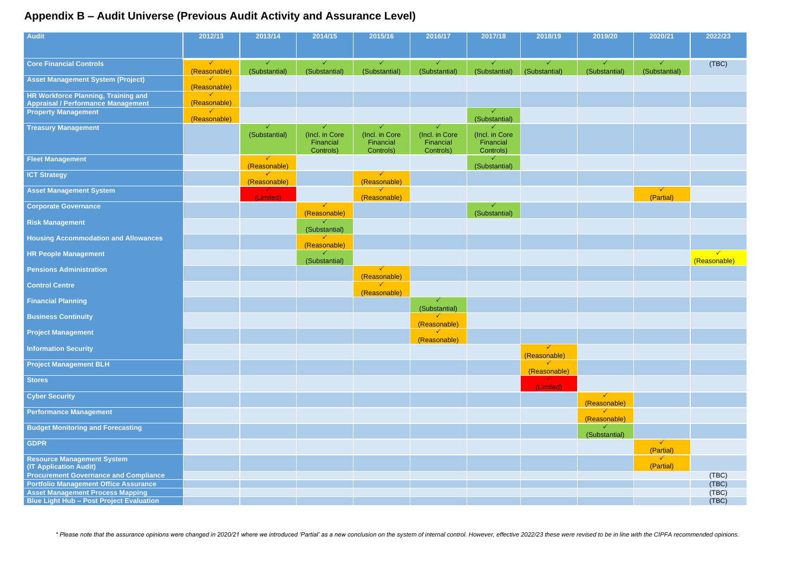## <span id="page-10-0"></span>**Appendix B – Audit Universe (Previous Audit Activity and Assurance Level)**

| <b>Audit</b>                                                                     | 2012/13                      | 2013/14                       | 2014/15                                  | 2015/16                                  | 2016/17                                  | 2017/18                                  | 2018/19                       | 2019/20                      | 2020/21                       | 2022/23                      |
|----------------------------------------------------------------------------------|------------------------------|-------------------------------|------------------------------------------|------------------------------------------|------------------------------------------|------------------------------------------|-------------------------------|------------------------------|-------------------------------|------------------------------|
|                                                                                  |                              |                               |                                          |                                          |                                          |                                          |                               |                              |                               |                              |
|                                                                                  |                              |                               |                                          |                                          |                                          |                                          |                               |                              |                               |                              |
| <b>Core Financial Controls</b>                                                   | $\checkmark$<br>(Reasonable) | $\checkmark$<br>(Substantial) | $\checkmark$<br>(Substantial)            | $\checkmark$<br>(Substantial)            | $\checkmark$<br>(Substantial)            | $\checkmark$<br>(Substantial)            | $\checkmark$<br>(Substantial) | ✓<br>(Substantial)           | $\checkmark$<br>(Substantial) | (TBC)                        |
| <b>Asset Management System (Project)</b>                                         | $\checkmark$<br>(Reasonable) |                               |                                          |                                          |                                          |                                          |                               |                              |                               |                              |
| HR Workforce Planning, Training and<br><b>Appraisal / Performance Management</b> | (Reasonable)                 |                               |                                          |                                          |                                          |                                          |                               |                              |                               |                              |
| <b>Property Management</b>                                                       | $\checkmark$<br>(Reasonable) |                               |                                          |                                          |                                          | (Substantial)                            |                               |                              |                               |                              |
| <b>Treasury Management</b>                                                       |                              |                               |                                          |                                          |                                          | $\checkmark$                             |                               |                              |                               |                              |
|                                                                                  |                              | (Substantial)                 | (Incl. in Core<br>Financial<br>Controls) | (Incl. in Core<br>Financial<br>Controls) | (Incl. in Core<br>Financial<br>Controls) | (Incl. in Core<br>Financial<br>Controls) |                               |                              |                               |                              |
| <b>Fleet Management</b>                                                          |                              | $\checkmark$<br>(Reasonable)  |                                          |                                          |                                          | (Substantial)                            |                               |                              |                               |                              |
| <b>ICT Strategy</b>                                                              |                              | $\checkmark$<br>(Reasonable)  |                                          | ✓<br>(Reasonable)                        |                                          |                                          |                               |                              |                               |                              |
| <b>Asset Management System</b>                                                   |                              | (Limited)                     |                                          | $\checkmark$<br>(Reasonable)             |                                          |                                          |                               |                              | $\checkmark$<br>(Partial)     |                              |
| <b>Corporate Governance</b>                                                      |                              |                               | $\checkmark$<br>(Reasonable)             |                                          |                                          | (Substantial)                            |                               |                              |                               |                              |
| <b>Risk Management</b>                                                           |                              |                               | $\checkmark$<br>(Substantial)            |                                          |                                          |                                          |                               |                              |                               |                              |
| <b>Housing Accommodation and Allowances</b>                                      |                              |                               | $\checkmark$<br>(Reasonable)             |                                          |                                          |                                          |                               |                              |                               |                              |
| <b>HR People Management</b>                                                      |                              |                               | $\checkmark$<br>(Substantial)            |                                          |                                          |                                          |                               |                              |                               | $\checkmark$<br>(Reasonable) |
| <b>Pensions Administration</b>                                                   |                              |                               |                                          | $\checkmark$<br>(Reasonable)             |                                          |                                          |                               |                              |                               |                              |
| <b>Control Centre</b>                                                            |                              |                               |                                          | $\checkmark$<br>(Reasonable)             |                                          |                                          |                               |                              |                               |                              |
| <b>Financial Planning</b>                                                        |                              |                               |                                          |                                          | ✓<br>(Substantial)                       |                                          |                               |                              |                               |                              |
| <b>Business Continuity</b>                                                       |                              |                               |                                          |                                          | $\checkmark$<br>(Reasonable)             |                                          |                               |                              |                               |                              |
| <b>Project Management</b>                                                        |                              |                               |                                          |                                          | $\checkmark$<br>(Reasonable)             |                                          |                               |                              |                               |                              |
| <b>Information Security</b>                                                      |                              |                               |                                          |                                          |                                          |                                          | $\checkmark$<br>(Reasonable)  |                              |                               |                              |
| <b>Project Management BLH</b>                                                    |                              |                               |                                          |                                          |                                          |                                          | $\checkmark$<br>(Reasonable)  |                              |                               |                              |
| <b>Stores</b>                                                                    |                              |                               |                                          |                                          |                                          |                                          | (Limited)                     |                              |                               |                              |
| <b>Cyber Security</b>                                                            |                              |                               |                                          |                                          |                                          |                                          |                               | $\checkmark$<br>(Reasonable) |                               |                              |
| <b>Performance Management</b>                                                    |                              |                               |                                          |                                          |                                          |                                          |                               | $\checkmark$<br>(Reasonable) |                               |                              |
| <b>Budget Monitoring and Forecasting</b>                                         |                              |                               |                                          |                                          |                                          |                                          |                               | (Substantial)                |                               |                              |
| <b>GDPR</b>                                                                      |                              |                               |                                          |                                          |                                          |                                          |                               |                              | $\checkmark$<br>(Partial)     |                              |
| <b>Resource Management System</b>                                                |                              |                               |                                          |                                          |                                          |                                          |                               |                              | $\checkmark$<br>(Partial)     |                              |
| <b>(IT Application Audit)</b><br><b>Procurement Governance and Compliance</b>    |                              |                               |                                          |                                          |                                          |                                          |                               |                              |                               | (TBC)                        |
| <b>Portfolio Management Office Assurance</b>                                     |                              |                               |                                          |                                          |                                          |                                          |                               |                              |                               | (TBC)                        |
| <b>Asset Management Process Mapping</b>                                          |                              |                               |                                          |                                          |                                          |                                          |                               |                              |                               | (TBC)                        |
| <b>Blue Light Hub - Post Project Evaluation</b>                                  |                              |                               |                                          |                                          |                                          |                                          |                               |                              |                               | (TBC)                        |
|                                                                                  |                              |                               |                                          |                                          |                                          |                                          |                               |                              |                               |                              |

\* Please note that the assurance opinions were changed in 2020/21 where we introduced 'Partial' as a new conclusion on the system of internal control. However, effective 2022/23 these were revised to be in line with the CI